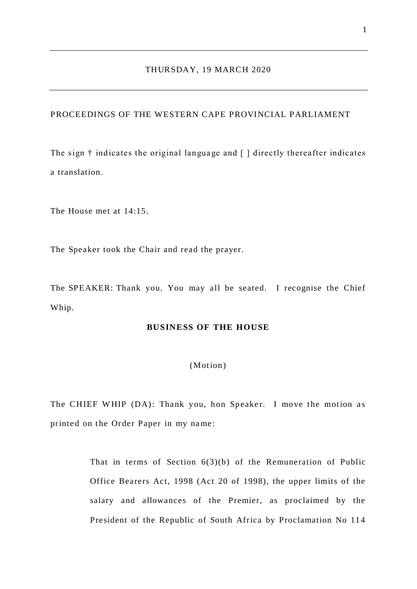# PROCEEDINGS OF THE WESTERN CAPE PROVINCIAL PARLIAMENT

The sign † indicates the original langua ge and [ ] directly thereafter indicates a translation.

The House met at 14:15.

The Speaker took the Chair and read the prayer.

The SPEAKER: Thank you. You may all be seated. I recognise the Chief Whip.

## **BUSINESS OF THE HOUSE**

### (Motion)

The CHIEF WHIP (DA): Thank you, hon Speaker. I move the motion as printed on the Order Paper in my name:

> That in terms of Section 6(3)(b) of the Remuneration of Public Office Bearers Act, 1998 (Act 20 of 1998), the upper limits of the salary and allowances of the Premier, as proclaimed by the President of the Republic of South Africa by Proclamation No 114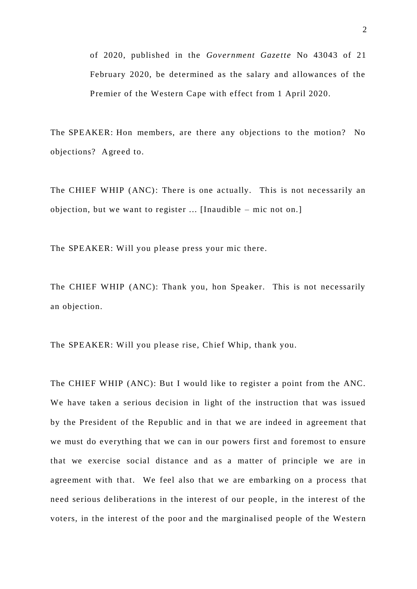of 2020, published in the *Government Gaze tte* No 43043 of 21 February 2020, be determined as the salary and allowances of the Premier of the Western Cape with effect from 1 April 2020.

The SPEAKER: Hon members, are there any objections to the motion? No objections? Agreed to.

The CHIEF WHIP (ANC): There is one actually. This is not necessarily an objection, but we want to register ... [Inaudible – mic not on.]

The SPEAKER: Will you please press your mic there.

The CHIEF WHIP (ANC): Thank you, hon Speaker. This is not necessarily an objection.

The SPEAKER: Will you please rise, Chief Whip, thank you.

The CHIEF WHIP (ANC): But I would like to register a point from the ANC. We have taken a serious decision in light of the instruction that was issued by the President of the Republic and in that we are indeed in agreement that we must do everything that we can in our powers first and foremost to ensure that we exercise social distance and as a matter of principle we are in agreement with that. We feel also that we are embarking on a process that need serious de liberations in the interest of our people, in the interest of the voters, in the interest of the poor and the marginalised people of the Western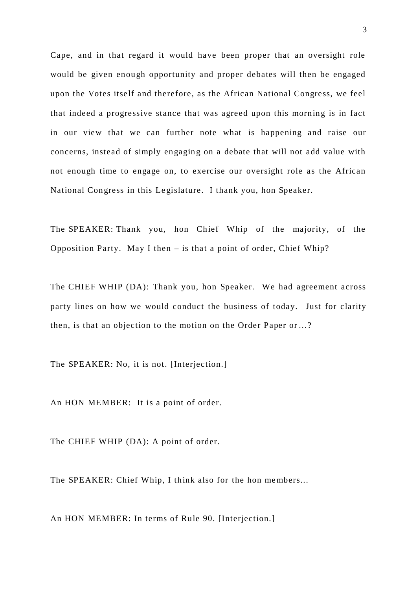Cape, and in that regard it would have been proper that an oversight role would be given enough opportunity and proper debates will then be engaged upon the Votes itself and therefore, as the African National Congress, we feel that indeed a progressive stance that was agreed upon this morning is in fact in our view that we can further note what is happening and raise our concerns, instead of simply engaging on a debate that will not add value with not enough time to engage on, to exercise our oversight role as the African National Congress in this Le gislature. I thank you, hon Speaker.

The SPEAKER: Thank you, hon Chief Whip of the majority, of the Opposition Party. May I then  $-$  is that a point of order, Chief Whip?

The CHIEF WHIP (DA): Thank you, hon Speaker. We had agreement across party lines on how we would conduct the business of today. Just for clarity then, is that an objection to the motion on the Order Paper or …?

The SPEAKER: No, it is not. [Interjection.]

An HON MEMBER: It is a point of order.

The CHIEF WHIP (DA): A point of order.

The SPEAKER: Chief Whip, I think also for the hon me mbers...

An HON MEMBER: In terms of Rule 90. [Interjection.]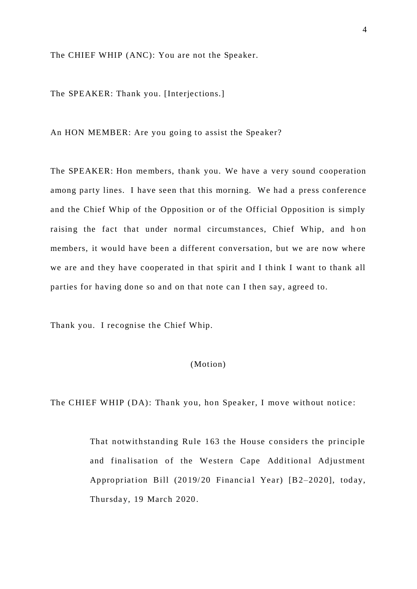The CHIEF WHIP (ANC): You are not the Speaker.

The SPEAKER: Thank you. [Interjections.]

An HON MEMBER: Are you going to assist the Speaker?

The SPEAKER: Hon members, thank you. We have a very sound cooperation among party lines. I have seen that this morning. We had a press conference and the Chief Whip of the Opposition or of the Official Opposition is simply raising the fact that under normal circumstances, Chief Whip, and h on members, it would have been a different conversation, but we are now where we are and they have cooperated in that spirit and I think I want to thank all parties for having done so and on that note can I then say, agreed to.

Thank you. I recognise the Chief Whip.

# (Motion)

The CHIEF WHIP (DA): Thank you, hon Speaker, I move without notice:

That notwithstanding Rule 163 the House considers the principle and finalisation of the Western Cape Additional Adjustment Appropriation Bill (2019/20 Financial Year) [B2-2020], today, Thursday, 19 March 2020.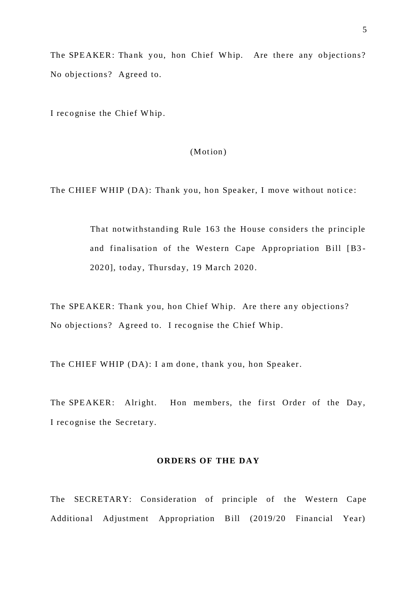The SPEAKER: Thank you, hon Chief Whip. Are there any objections? No objections? Agreed to.

I recognise the Chief Whip.

(Motion)

The CHIEF WHIP (DA): Thank you, hon Speaker, I move without notice:

That notwithstanding Rule 163 the House considers the principle and finalisation of the Western Cape Appropriation Bill [B3-2020], today, Thursday, 19 March 2020.

The SPEAKER: Thank you, hon Chief Whip. Are there any objections? No objections? Agreed to. I recognise the Chief Whip.

The CHIEF WHIP (DA): I am done, thank you, hon Speaker.

The SPEAKER: Alright. Hon members, the first Order of the Day, I rec ognise the Se cretary.

### **ORDERS OF THE DAY**

The SECRETARY: Consideration of principle of the Western Cape Additional Adjustment Appropriation Bill (2019/20 Financial Year)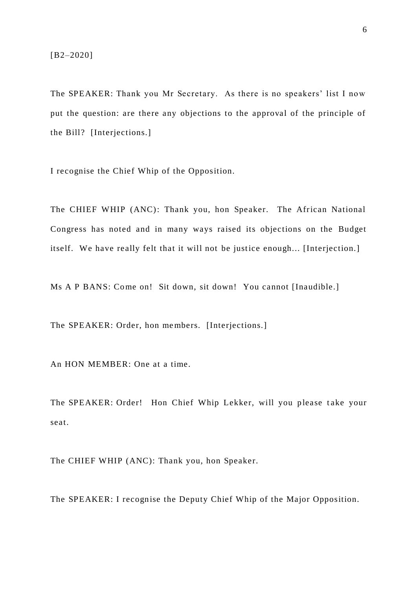The SPEAKER: Thank you Mr Secretary. As there is no speakers' list I now put the question: are there any objections to the approval of the principle of the Bill? [Interjections.]

I recognise the Chief Whip of the Opposition.

The CHIEF WHIP (ANC): Thank you, hon Speaker. The African National Congress has noted and in many ways raised its objections on the Budget itself. We have really felt that it will not be justice enough... [Interjection.]

Ms A P BANS: Come on! Sit down, sit down! You cannot [Inaudible.]

The SPEAKER: Order, hon me mbers. [Interjections.]

An HON MEMBER: One at a time.

The SPEAKER: Order! Hon Chief Whip Lekker, will you please take your seat.

The CHIEF WHIP (ANC): Thank you, hon Speaker.

The SPEAKER: I recognise the Deputy Chief Whip of the Major Opposition.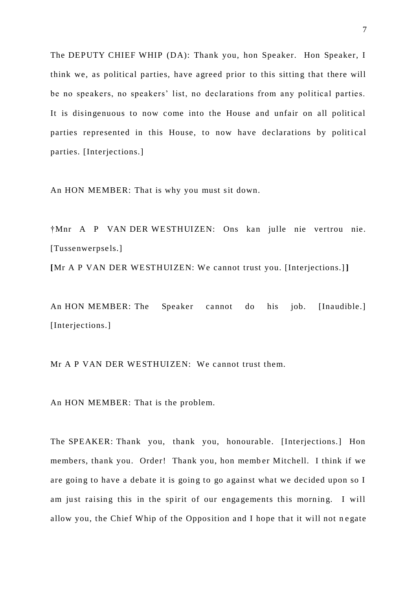The DEPUTY CHIEF WHIP (DA): Thank you, hon Speaker. Hon Speaker, I think we, as political parties, have agreed prior to this sitting that there will be no speakers, no speakers' list, no declarations from any political parties. It is disingenuous to now come into the House and unfair on all political parties represented in this House, to now have declarations by political parties. [Interjections.]

An HON MEMBER: That is why you must sit down.

†Mnr A P VAN DER WE STHUIZEN: Ons kan julle nie vertrou nie. [Tussenwerpsels.]

**[**Mr A P VAN DER WE STHUIZEN: We cannot trust you. [Interjections.]**]**

An HON MEMBER: The Speaker cannot do his job. [Inaudible.] [Interjections.]

Mr A P VAN DER WESTHUIZEN: We cannot trust them.

An HON MEMBER: That is the problem.

The SPEAKER: Thank you, thank you, honourable. [Interjections.] Hon members, thank you. Order! Thank you, hon member Mitchell. I think if we are going to have a debate it is going to go a gainst what we decided upon so I am just raising this in the spirit of our enga gements this morning. I will allow you, the Chief Whip of the Opposition and I hope that it will not n e gate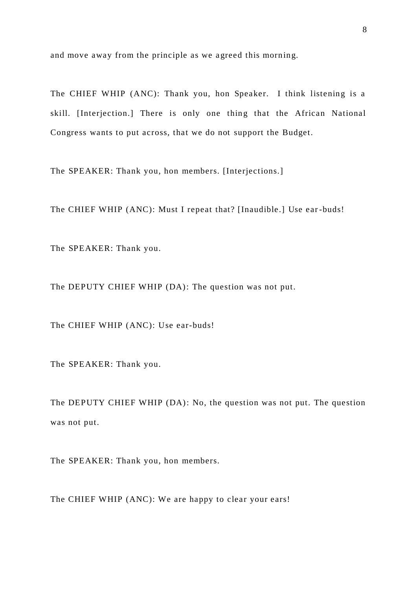and move away from the principle as we agreed this morning.

The CHIEF WHIP (ANC): Thank you, hon Speaker. I think listening is a skill. [Interjection.] There is only one thing that the African National Congress wants to put across, that we do not support the Budget.

The SPEAKER: Thank you, hon members. [Interjections.]

The CHIEF WHIP (ANC): Must I repeat that? [Inaudible.] Use ear -buds!

The SPEAKER: Thank you.

The DEPUTY CHIEF WHIP (DA): The question was not put.

The CHIEF WHIP (ANC): Use ear-buds!

The SPEAKER: Thank you.

The DEPUTY CHIEF WHIP (DA): No, the question was not put. The question was not put.

The SPEAKER: Thank you, hon members.

The CHIEF WHIP (ANC): We are happy to clear your ears!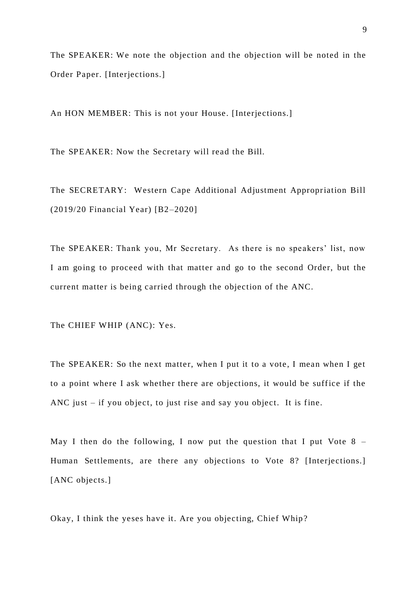The SPEAKER: We note the objection and the objection will be noted in the Order Paper. [Interjections.]

An HON MEMBER: This is not your House. [Interjections.]

The SPEAKER: Now the Secretary will read the Bill.

The SECRETARY: Western Cape Additional Adjustment Appropriation Bill (2019/20 Financial Year) [B2–2020]

The SPEAKER: Thank you, Mr Secretary. As there is no speakers' list, now I am going to proceed with that matter and go to the second Order, but the current matter is being carried through the objection of the ANC.

The CHIEF WHIP (ANC): Yes.

The SPEAKER: So the next matter, when I put it to a vote, I mean when I get to a point where I ask whether there are objections, it would be suffice if the ANC just – if you object, to just rise and say you object. It is fine.

May I then do the following, I now put the question that I put Vote  $8 -$ Human Settlements, are there any objections to Vote 8? [Interjections.] [ANC objects.]

Okay, I think the yeses have it. Are you objecting, Chief Whip?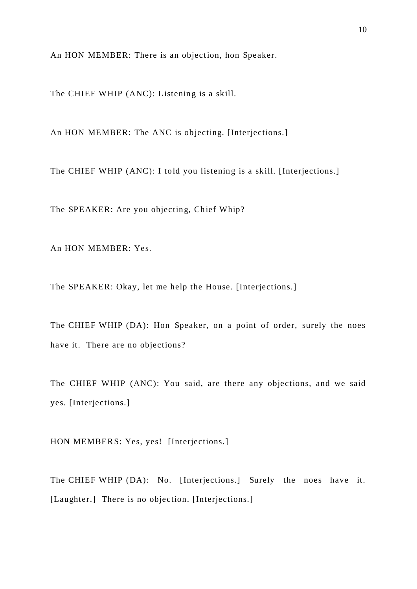An HON MEMBER: There is an objection, hon Speaker.

The CHIEF WHIP (ANC): Listening is a skill.

An HON MEMBER: The ANC is objecting. [Interjections.]

The CHIEF WHIP (ANC): I told you listening is a skill. [Interjections.]

The SPEAKER: Are you objecting, Chief Whip?

An HON MEMBER: Yes.

The SPEAKER: Okay, let me help the House. [Interjections.]

The CHIEF WHIP (DA): Hon Speaker, on a point of order, surely the noes have it. There are no objections?

The CHIEF WHIP (ANC): You said, are there any objections, and we said yes. [Interjections.]

HON MEMBERS: Yes, yes! [Interjections.]

The CHIEF WHIP (DA): No. [Interjections.] Surely the noes have it. [Laughter.] There is no objection. [Interjections.]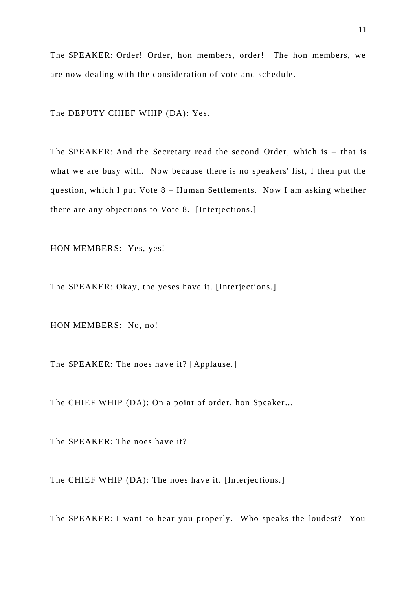The SPEAKER: Order! Order, hon members, order! The hon members, we are now dealing with the consideration of vote and schedule.

The DEPUTY CHIEF WHIP (DA): Yes.

The SPEAKER: And the Secretary read the second Order, which is – that is what we are busy with. Now because there is no speakers' list, I then put the question, wh ich I put Vote 8 – Human Settlements. Now I am asking whether there are any objections to Vote 8. [Interjections.]

HON MEMBERS: Yes, yes!

The SPEAKER: Okay, the yeses have it. [Interjections.]

HON MEMBERS: No, no!

The SPEAKER: The noes have it? [Applause.]

The CHIEF WHIP (DA): On a point of order, hon Speaker...

The SPEAKER: The noes have it?

The CHIEF WHIP (DA): The noes have it. [Interjections.]

The SPEAKER: I want to hear you properly. Who speaks the loudest? You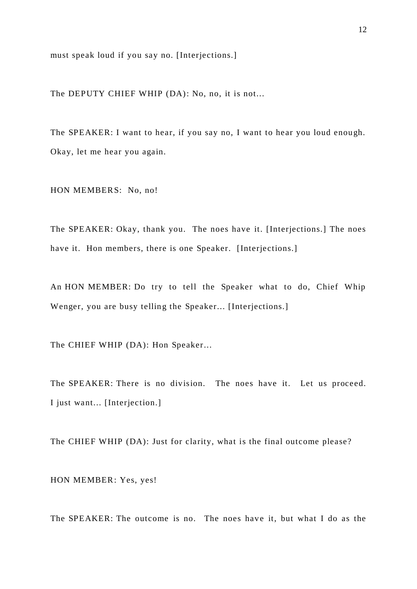must speak loud if you say no. [Interjections.]

The DEPUTY CHIEF WHIP (DA): No, no, it is not...

The SPEAKER: I want to hear, if you say no, I want to hear you loud enough. Okay, let me hear you again.

HON MEMBERS: No, no!

The SPEAKER: Okay, thank you. The noes have it. [Interjections.] The noes have it. Hon members, there is one Speaker. [Interjections.]

An HON MEMBER: Do try to tell the Speaker what to do, Chief Whip Wenger, you are busy telling the Speaker... [Interjections.]

The CHIEF WHIP (DA): Hon Speaker...

The SPEAKER: There is no division. The noes have it. Let us proceed. I just want... [Interjection.]

The CHIEF WHIP (DA): Just for clarity, what is the final outcome please?

HON MEMBER: Yes, yes!

The SPEAKER: The outcome is no. The noes have it, but what I do as the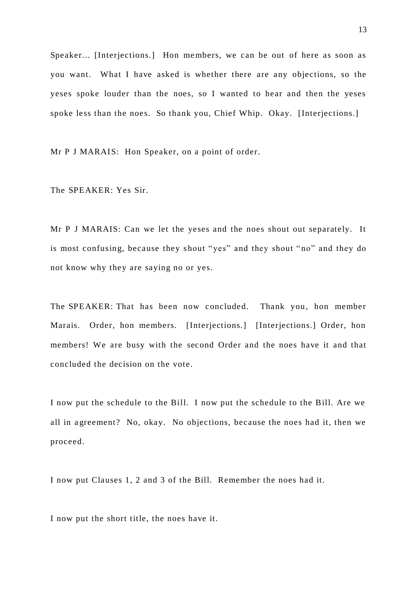Speaker... [Interjections.] Hon members, we can be out of here as soon as you want. What I have asked is whether there are any objections, so the yeses spoke louder than the noes, so I wanted to hear and then the yeses spoke less than the noes. So thank you, Chief Whip. Okay. [Interjections.]

Mr P J MARAIS: Hon Speaker, on a point of order.

The SPEAKER: Yes Sir.

Mr P J MARAIS: Can we let the yeses and the noes shout out separately. It is most confusing, because they shout " yes" and they shout " no" and they do not know why they are saying no or yes.

The SPEAKER: That has been now concluded. Thank you, hon member Marais. Order, hon members. [Interjections.] [Interjections.] Order, hon members! We are busy with the second Order and the noes have it and that concluded the decision on the vote.

I now put the schedule to the Bill. I now put the schedule to the Bill. Are we all in a greement? No, okay. No objections, because the noes had it, then we proceed.

I now put Clauses 1, 2 and 3 of the Bill. Remember the noes had it.

I now put the short title, the noes have it.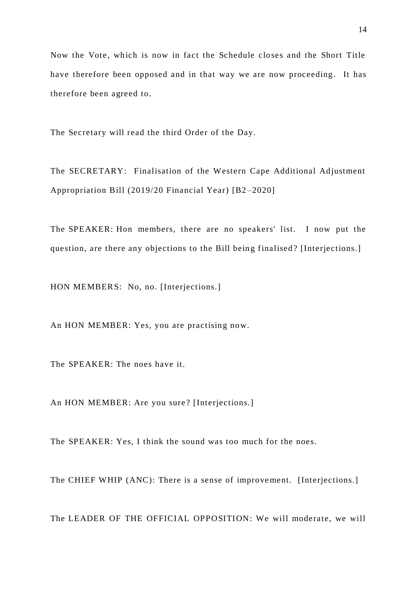Now the Vote, which is now in fact the Schedule closes and the Short Title have therefore been opposed and in that way we are now proceeding. It has therefore been agreed to.

The Secretary will read the third Order of the Day.

The SECRETARY: Finalisation of the Western Cape Additional Adjustment Appropriation Bill (2019/20 Financial Year) [B2 –2020]

The SPEAKER: Hon members, there are no speakers' list. I now put the question, are there any objections to the Bill being finalised? [Interjections.]

HON MEMBERS: No, no. [Interjections.]

An HON MEMBER: Yes, you are practising now.

The SPEAKER: The noes have it.

An HON MEMBER: Are you sure? [Interjections.]

The SPEAKER: Yes, I think the sound was too much for the noes.

The CHIEF WHIP (ANC): There is a sense of improvement. [Interjections.]

The LEADER OF THE OFFICIAL OPPOSITION: We will moderate, we will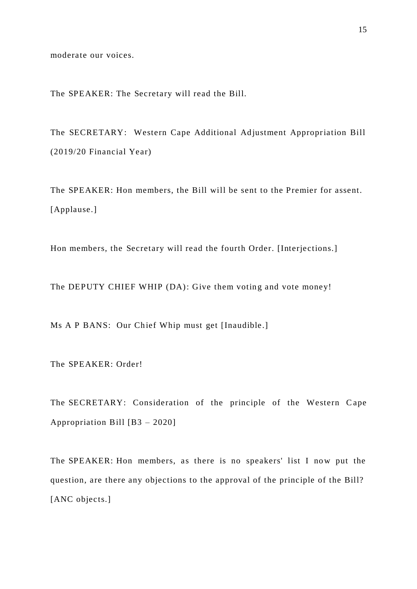moderate our voices.

The SPEAKER: The Secretary will read the Bill.

The SECRETARY: Western Cape Additional Adjustment Appropriation Bill (2019/20 Financial Year)

The SPEAKER: Hon members, the Bill will be sent to the Premier for assent. [Applause.]

Hon members, the Secretary will read the fourth Order. [Interjections.]

The DEPUTY CHIEF WHIP (DA): Give them voting and vote money!

Ms A P BANS: Our Chief Whip must get [Inaudible.]

The SPEAKER: Order!

The SECRETARY: Consideration of the principle of the Western C ape Appropriation Bill [B3 – 2020]

The SPEAKER: Hon members, as there is no speakers' list I now put the question, are there any objections to the approval of the principle of the Bill? [ANC objects.]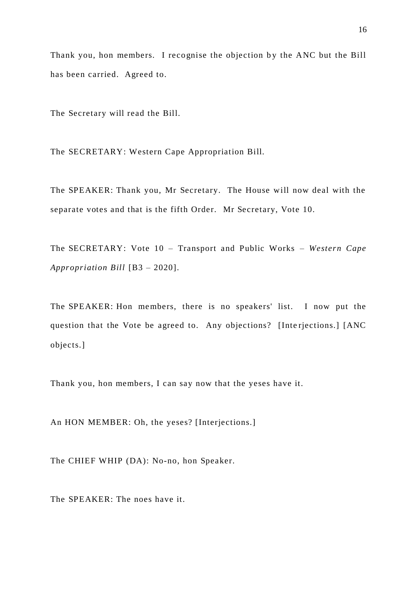Thank you, hon members. I recognise the objection by the ANC but the Bill has been carried. Agreed to.

The Secretary will read the Bill.

The SECRETARY: Western Cape Appropriation Bill.

The SPEAKER: Thank you, Mr Secretary. The House will now deal with the separate votes and that is the fifth Order. Mr Secretary, Vote 10.

The SECRETARY: Vote 10 – Transport and Public Works – *Western Cape Appropriation Bill* [B3 – 2020].

The SPEAKER: Hon me mbers, there is no speakers' list. I now put the question that the Vote be agreed to. Any objections? [Inte rjections.] [ANC objects.]

Thank you, hon members, I can say now that the yeses have it.

An HON MEMBER: Oh, the yeses? [Interjections.]

The CHIEF WHIP (DA): No-no, hon Speaker.

The SPEAKER: The noes have it.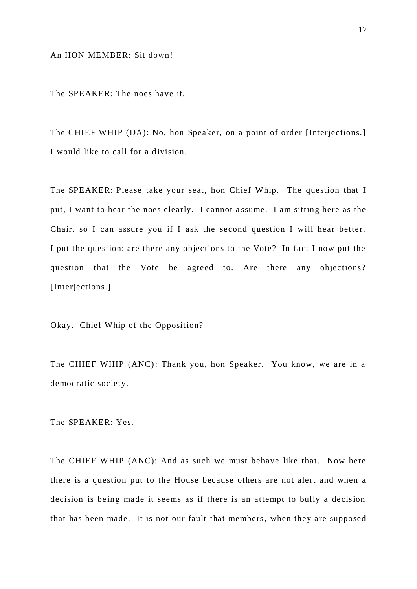The SPEAKER: The noes have it.

The CHIEF WHIP (DA): No, hon Speaker, on a point of order [Interjections.] I would like to call for a division.

The SPEAKER: Please take your seat, hon Chief Whip. The question that I put, I want to hear the noes clearly. I cannot a ssume. I am sitting here as the Chair, so I can assure you if I ask the second question I will hear better. I put the question: are there any objections to the Vote? In fact I now put the question that the Vote be agreed to. Are there any objections? [Interjections.]

Okay. Chief Whip of the Opposition?

The CHIEF WHIP (ANC): Thank you, hon Speaker. You know, we are in a democratic society.

The SPEAKER: Yes.

The CHIEF WHIP (ANC): And as such we must behave like that. Now here there is a question put to the House because others are not alert and when a decision is be ing made it seems as if there is an attempt to bully a decision that has been made. It is not our fault that members, when they are supposed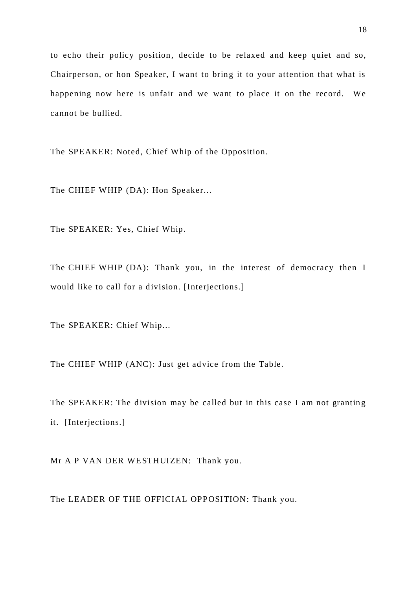to echo their policy position, decide to be relaxed and keep quiet and so, Chairperson, or hon Speaker, I want to bring it to your attention that what is happening now here is unfair and we want to place it on the record. We cannot be bullied.

The SPEAKER: Noted, Chief Whip of the Opposition.

The CHIEF WHIP (DA): Hon Speaker...

The SPEAKER: Yes, Chief Whip.

The CHIEF WHIP (DA): Thank you, in the interest of democracy then I would like to call for a division. [Interjections.]

The SPEAKER: Chief Whip...

The CHIEF WHIP (ANC): Just get ad vice from the Table.

The SPEAKER: The division may be called but in this case I am not granting it. [Interjections.]

Mr A P VAN DER WESTHUIZEN: Thank you.

The LEADER OF THE OFFICIAL OPPOSITION: Thank you.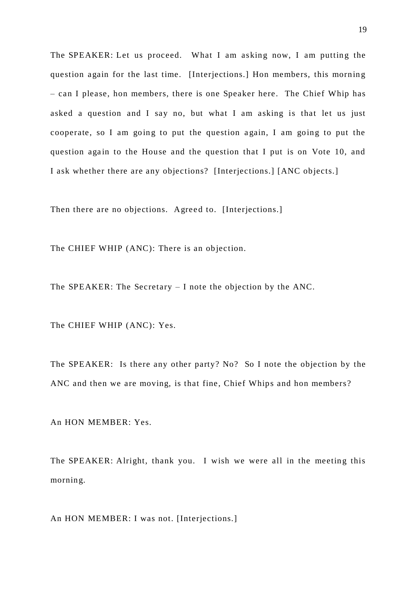The SPEAKER: Let us proceed. What I am asking now, I am putting the question again for the last time. [Interjections.] Hon members, this morning – can I please, hon members, there is one Speaker here. The Chief Whip has asked a question and I say no, but what I am asking is that let us just cooperate, so I am going to put the question a gain, I am going to put the question again to the House and the question that I put is on Vote 10, and I ask whether there are any objections? [Interjections.] [ANC objects.]

Then there are no objections. Agreed to. [Interjections.]

The CHIEF WHIP (ANC): There is an objection.

The SPEAKER: The Secretary – I note the objection by the ANC.

The CHIEF WHIP (ANC): Yes.

The SPEAKER: Is there any other party? No? So I note the objection by the ANC and then we are moving, is that fine, Chief Whips and hon members?

An HON MEMBER: Yes.

The SPEAKER: Alright, thank you. I wish we were all in the meeting this morning.

An HON MEMBER: I was not. [Interjections.]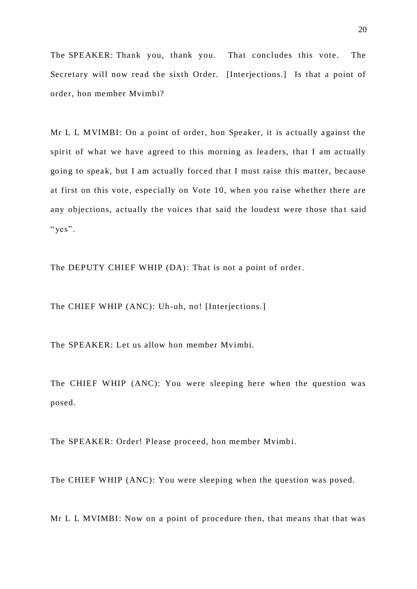The SPEAKER: Thank you, thank you. That concludes this vote. The Secretary will now read the sixth Order. [Interjections.] Is that a point of order, hon member Mvimbi?

Mr L L MVIMBI: On a point of order, hon Speaker, it is actually a gainst the spirit of what we have agreed to this morning as lea ders, that I am actually going to speak, but I am actually forced that I must raise this matter, because at first on this vote, especially on Vote 10, when you raise whether there are any objections, actually the voices that said the loudest were those that said " $ves$ ".

The DEPUTY CHIEF WHIP (DA): That is not a point of order.

The CHIEF WHIP (ANC): Uh-uh, no! [Interjections.]

The SPEAKER: Let us allow hon member Mvimbi.

The CHIEF WHIP (ANC): You were sleeping here when the question was posed.

The SPEAKER: Order! Please proceed, hon member Mvimbi.

The CHIEF WHIP (ANC): You were sleeping when the question was posed.

Mr L L MVIMBI: Now on a point of procedure then, that means that that was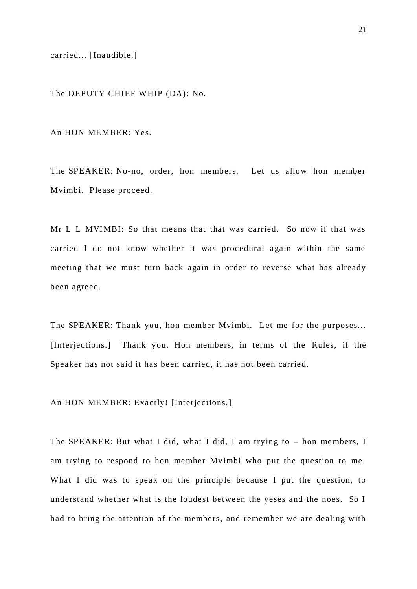carried... [Inaudible.]

The DEPUTY CHIEF WHIP (DA): No.

An HON MEMBER: Yes.

The SPEAKER: No-no, order, hon members. Let us allow hon member Mvimbi. Please proceed.

Mr L L MVIMBI: So that means that that was carried. So now if that was carried I do not know whether it was procedural again within the same meeting that we must turn back again in order to reverse what has already been agreed.

The SPEAKER: Thank you, hon member Mvimbi. Let me for the purposes... [Interjections.] Thank you. Hon members, in terms of the Rules, if the Speaker has not said it has been carried, it has not been carried.

An HON MEMBER: Exactly! [Interjections.]

The SPEAKER: But what I did, what I did, I am trying to – hon me mbers, I am trying to respond to hon me mber Mvimbi who put the question to me. What I did was to speak on the principle because I put the question, to understand whether what is the loudest between the yeses and the noes. So I had to bring the attention of the members, and remember we are dealing with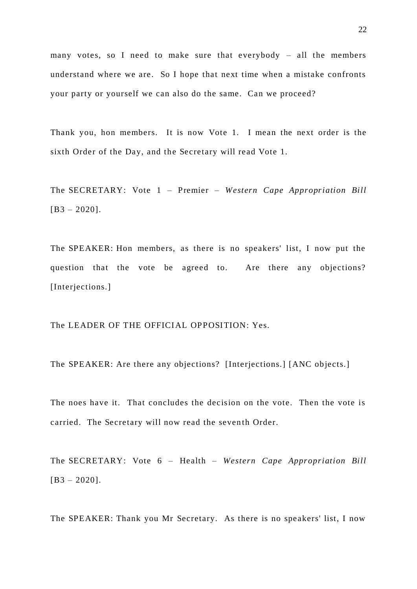many votes, so I need to make sure that everybody – all the members understand where we are. So I hope that next time when a mistake confronts your party or yourself we can also do the same. Can we proceed?

Thank you, hon members. It is now Vote 1*.* I mean the next order is the sixth Order of the Day, and the Secretary will read Vote 1.

The SECRETARY: Vote 1 – Premier – *Western Cape Appropriation Bill*  $[B3 - 2020]$ .

The SPEAKER: Hon members, as there is no speakers' list, I now put the question that the vote be agreed to. Are there any objections? [Interjections.]

The LEADER OF THE OFFICIAL OPPOSITION: Yes.

The SPEAKER: Are there any objections? [Interjections.] [ANC objects.]

The noes have it. That concludes the decision on the vote. Then the vote is carried. The Secretary will now read the seventh Order.

The SECRETARY: Vote 6 – Health – *Western Cape Appropriation Bill* [B3 – 2020].

The SPEAKER: Thank you Mr Secretary. As there is no speakers' list, I now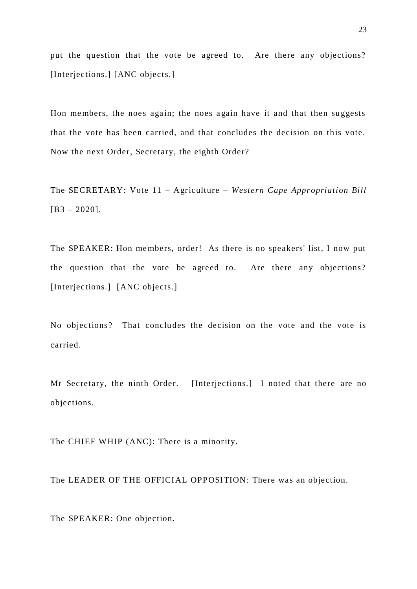put the question that the vote be agreed to. Are there any objections? [Interjections.] [ANC objects.]

Hon members, the noes again; the noes again have it and that then suggests that the vote has been carried, and that concludes the decision on this vote. Now the next Order, Secretary, the eighth Order?

The SECRETARY: Vote 11 – Agriculture – *Western Cape Appropriation Bill*  $[B3 - 2020]$ .

The SPEAKER: Hon me mbers, order! As there is no speakers' list, I now put the question that the vote be agreed to. Are there any objections? [Interjections.] [ANC objects.]

No objections? That concludes the decision on the vote and the vote is carried.

Mr Secretary, the ninth Order. [Interjections.] I noted that there are no objections.

The CHIEF WHIP (ANC): There is a minority.

The LEADER OF THE OFFICIAL OPPOSITION: There was an objection.

The SPEAKER: One objection.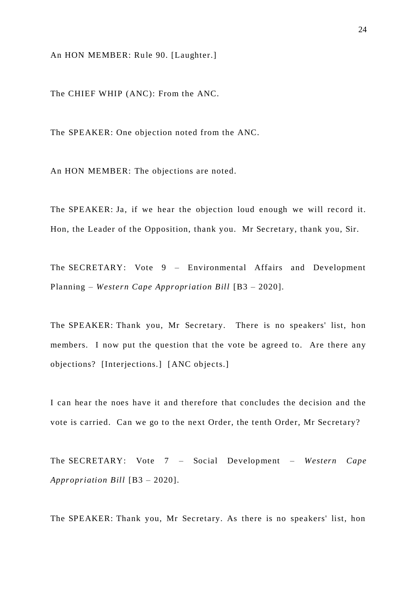An HON MEMBER: Rule 90. [Laughter.]

The CHIEF WHIP (ANC): From the ANC.

The SPEAKER: One objection noted from the ANC.

An HON MEMBER: The objections are noted.

The SPEAKER: Ja, if we hear the objection loud enough we will record it. Hon, the Leader of the Opposition, thank you. Mr Secretary, thank you, Sir.

The SECRETARY: Vote 9 – Environmental Affairs and Development Planning – *Western Cape Appropriation Bill* [B3 – 2020].

The SPEAKER: Thank you, Mr Secretary. There is no speakers' list, hon members. I now put the question that the vote be agreed to. Are there any objections? [Interjections.] [ANC objects.]

I can hear the noes have it and therefore that concludes the decision and the vote is carried. Can we go to the next Order, the tenth Order, Mr Secretary?

The SECRETARY: Vote 7 – Social Development – *Western Cape Appropriation Bill* [B3 – 2020].

The SPEAKER: Thank you, Mr Secretary. As there is no speakers' list, hon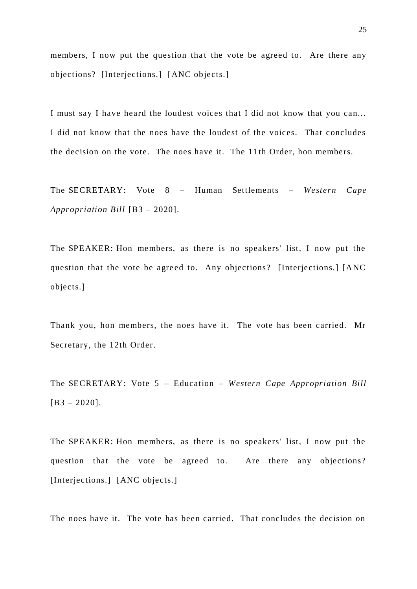members, I now put the question that the vote be agreed to. Are there any objections? [Interjections.] [ANC objects.]

I must say I have heard the loudest voices that I did not know that you can... I did not know that the noes have the loudest of the voices. That concludes the decision on the vote. The noes have it. The 11 th Order, hon members.

The SECRETARY: Vote 8 – Human Settlements – *Western Cape Appropriation Bill* [B3 – 2020].

The SPEAKER: Hon members, as there is no speakers' list, I now put the question that the vote be agre ed to. Any objections? [Interjections.] [ANC objects.]

Thank you, hon members, the noes have it. The vote has been carried. Mr Secretary, the 12th Order.

The SECRETARY: Vote 5 – Education – *Western Cape Appropriation Bill* [B3 – 2020].

The SPEAKER: Hon members, as there is no speakers' list, I now put the question that the vote be agreed to. Are there any objections? [Interjections.] [ANC objects.]

The noes have it. The vote has been carried. That concludes the decision on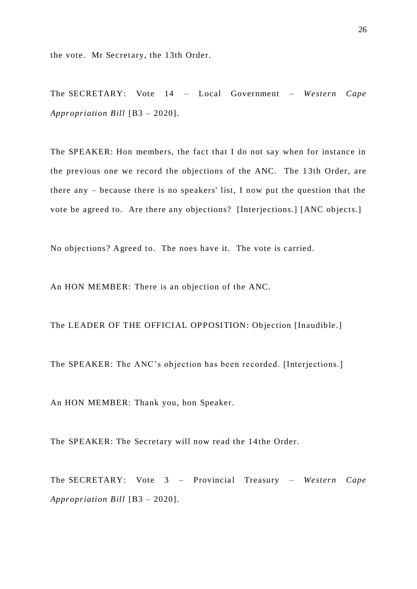the vote. Mr Secretary, the 13th Order.

The SECRETARY: Vote 14 – Local Government – *Western Cape Appropriation Bill* [B3 – 2020].

The SPEAKER: Hon members, the fact that I do not say when for instance in the previous one we record the objections of the ANC. The 1 3th Order, are there any – because there is no speakers' list, I now put the question that the vote be agreed to. Are there any objections? [Interjections.] [ANC objects.]

No objections? Agreed to. The noes have it. The vote is carried.

An HON MEMBER: There is an objection of the ANC.

The LEADER OF THE OFFICIAL OPPOSITION: Objection [Inaudible.]

The SPEAKER: The ANC's objection has been recorded. [Interjections.]

An HON MEMBER: Thank you, hon Speaker.

The SPEAKER: The Secretary will now read the 14 the Order.

The SECRETARY: Vote 3 – Provincial Treasury – Western Cape *Appropriation Bill* [B3 – 2020].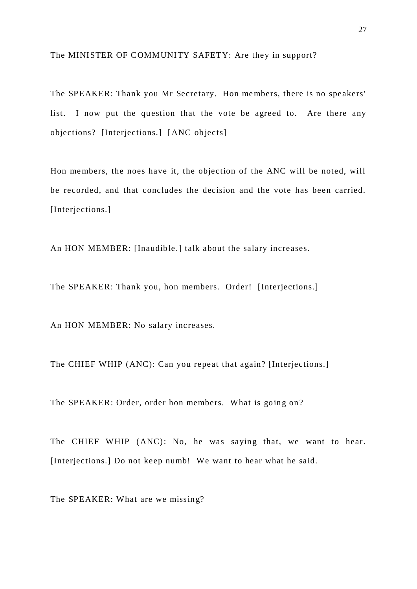#### The MINISTER OF COMMUNITY SAFETY: Are they in support?

The SPEAKER: Thank you Mr Secretary. Hon me mbers, there is no speakers' list. I now put the question that the vote be agreed to. Are there any objections? [Interjections.] [ANC objects]

Hon me mbers, the noes have it, the objection of the ANC will be noted, will be recorded, and that concludes the decision and the vote has been carried. [Interjections.]

An HON MEMBER: [Inaudible.] talk about the salary increases.

The SPEAKER: Thank you, hon members. Order! [Interjections.]

An HON MEMBER: No salary increases.

The CHIEF WHIP (ANC): Can you repeat that again? [Interjections.]

The SPEAKER: Order, order hon members. What is going on?

The CHIEF WHIP (ANC): No, he was saying that, we want to hear. [Interjections.] Do not keep numb! We want to hear what he said.

The SPEAKER: What are we missing?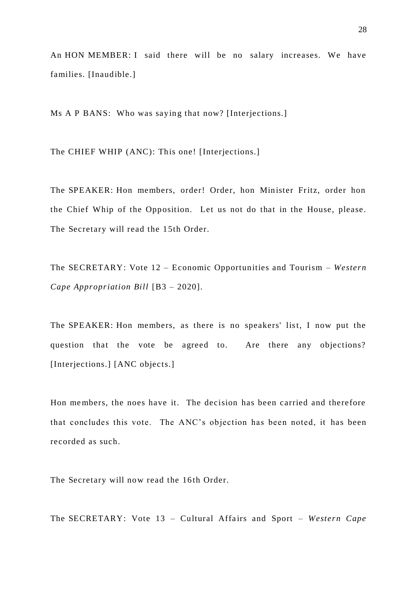An HON MEMBER: I said there will be no salary increases. We have families. [Inaudible.]

Ms A P BANS: Who was saying that now? [Interjections.]

The CHIEF WHIP (ANC): This one! [Interjections.]

The SPEAKER: Hon members, order! Order, hon Minister Fritz, order hon the Chief Whip of the Opposition. Let us not do that in the House, please. The Secretary will read the 15th Order.

The SECRETARY: Vote 12 – Economic Opportunities and Tourism – *Western Cape Appropriation Bill* [B3 – 2020].

The SPEAKER: Hon members, as there is no speakers' list, I now put the question that the vote be agreed to. Are there any objections? [Interjections.] [ANC objects.]

Hon me mbers, the noes have it. The decision has been carried and therefore that concludes this vote. The ANC's objection has been noted, it has been recorded as such.

The Secretary will now read the 16th Order.

The SECRETARY: Vote 13 - Cultural Affairs and Sport - Western Cape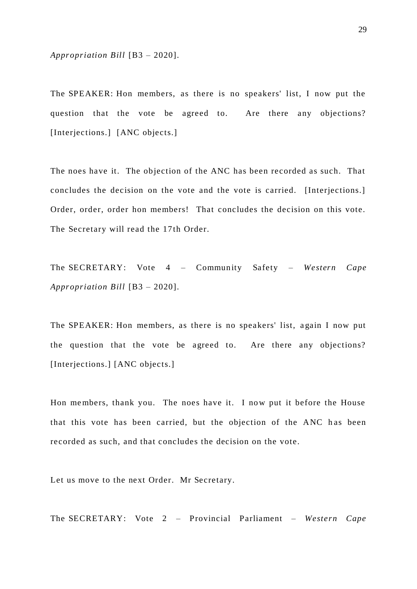*Appropriation Bill* [B3 – 2020].

The SPEAKER: Hon members, as there is no speakers' list, I now put the question that the vote be agreed to. Are there any objections? [Interjections.] [ANC objects.]

The noes have it. The objection of the ANC has been recorded as such. That concludes the decision on the vote and the vote is carried. [Interjections.] Order, order, order hon members! That concludes the decision on this vote. The Secretary will read the 17th Order.

The SECRETARY: Vote 4 – Community Safety – *Western Cape Appropriation Bill* [B3 – 2020].

The SPEAKER: Hon members, as there is no speakers' list, a gain I now put the question that the vote be agreed to. Are there any objections? [Interjections.] [ANC objects.]

Hon me mbers, thank you. The noes have it. I now put it before the House that this vote has been carried, but the objection of the ANC h as been recorded as such, and that concludes the decision on the vote.

Let us move to the next Order. Mr Secretary.

The SECRETARY: Vote 2 – Provincial Parliament – *Western Cape*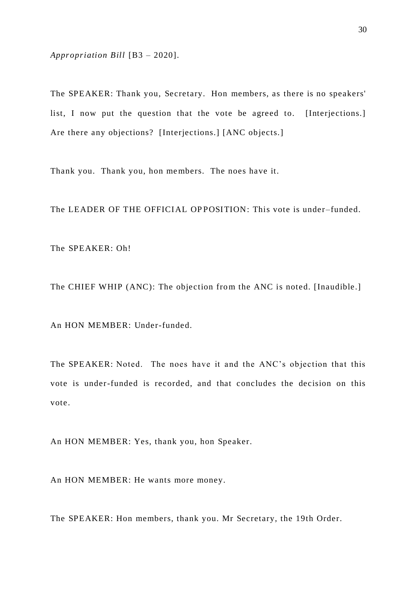*Appropriation Bill* [B3 – 2020].

The SPEAKER: Thank you, Secretary. Hon members, as there is no speakers' list, I now put the question that the vote be agreed to. [Interjections.] Are there any objections? [Interjections.] [ANC objects.]

Thank you. Thank you, hon me mbers. The noes have it.

The LEADER OF THE OFFICIAL OPPOSITION: This vote is under-funded.

The SPEAKER: Oh!

The CHIEF WHIP (ANC): The objection from the ANC is noted. [Inaudible.]

An HON MEMBER: Under-funded.

The SPEAKER: Noted. The noes have it and the ANC's objection that this vote is under-funded is recorded, and that concludes the decision on this vote.

An HON MEMBER: Yes, thank you, hon Speaker.

An HON MEMBER: He wants more money.

The SPEAKER: Hon members, thank you. Mr Secretary, the 19th Order.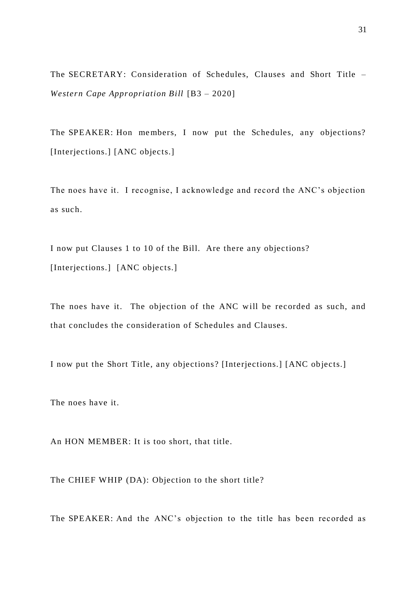The SECRETARY: Consideration of Schedules, Clauses and Short Title – *Western Cape Appropriation Bill* [B3 – 2020]

The SPEAKER: Hon members, I now put the Schedules, any objections? [Interjections.] [ANC objects.]

The noes have it. I recognise, I acknowledge and record the ANC's objection as such.

I now put Clauses 1 to 10 of the Bill. Are there any objections? [Interjections.] [ANC objects.]

The noes have it. The objection of the ANC will be recorded as such, and that concludes the consideration of Schedules and Clauses.

I now put the Short Title, any objections? [Interjections.] [ANC objects.]

The noes have it.

An HON MEMBER: It is too short, that title.

The CHIEF WHIP (DA): Objection to the short title?

The SPEAKER: And the ANC's objection to the title has been recorded as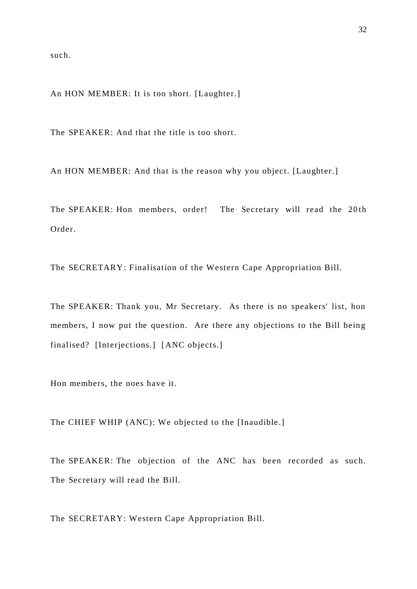such.

An HON MEMBER: It is too short. [Laughter.]

The SPEAKER: And that the title is too short.

An HON MEMBER: And that is the reason why you object. [Laughter.]

The SPEAKER: Hon members, order! The Secretary will read the 20th Order.

The SECRETARY: Finalisation of the Western Cape Appropriation Bill.

The SPEAKER: Thank you, Mr Secretary. As there is no speakers' list, hon members, I now put the question. Are there any objections to the Bill being finalised? [Interjections.] [ANC objects.]

Hon members, the noes have it.

The CHIEF WHIP (ANC): We objected to the [Inaudible.]

The SPEAKER: The objection of the ANC has been recorded as such. The Secretary will read the Bill.

The SECRETARY: Western Cape Appropriation Bill.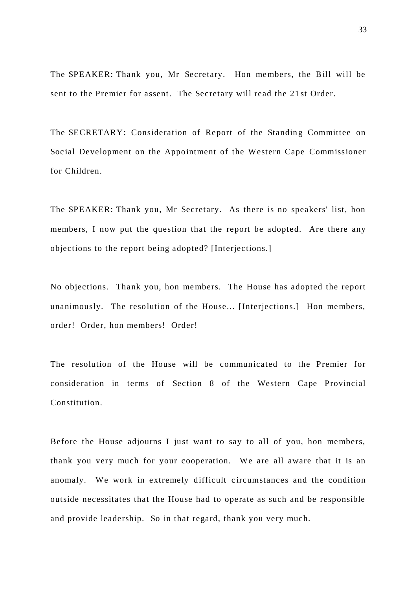The SPEAKER: Thank you, Mr Secretary. Hon me mbers, the Bill will be sent to the Premier for assent. The Secretary will read the 21 st Order.

The SECRETARY: Consideration of Report of the Standing Committee on Soc ial Development on the Appointment of the Western Cape Commissioner for Children.

The SPEAKER: Thank you, Mr Secretary. As there is no speakers' list, hon members, I now put the question that the report be adopted. Are there any objections to the report being adopted? [Interjections.]

No objections. Thank you, hon me mbers. The House has adopted the report unanimously. The resolution of the House... [Interjections.] Hon me mbers, order! Order, hon members! Order!

The resolution of the House will be communicated to the Premier for consideration in terms of Section 8 of the Western Cape Provincial Constitution.

Before the House adjourns I just want to say to all of you, hon me mbers, thank you very much for your cooperation. We are all aware that it is an anomaly. We work in extremely difficult circumstances and the condition outside necessitates that the House had to operate as such and be responsible and provide leadership. So in that regard, thank you very much.